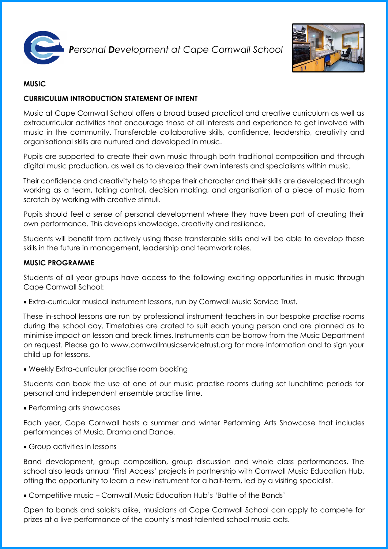

*Personal Development at Cape Cornwall School* 



# **MUSIC**

# **CURRICULUM INTRODUCTION STATEMENT OF INTENT**

Music at Cape Cornwall School offers a broad based practical and creative curriculum as well as extracurricular activities that encourage those of all interests and experience to get involved with music in the community. Transferable collaborative skills, confidence, leadership, creativity and organisational skills are nurtured and developed in music.

Pupils are supported to create their own music through both traditional composition and through digital music production, as well as to develop their own interests and specialisms within music.

Their confidence and creativity help to shape their character and their skills are developed through working as a team, taking control, decision making, and organisation of a piece of music from scratch by working with creative stimuli.

Pupils should feel a sense of personal development where they have been part of creating their own performance. This develops knowledge, creativity and resilience.

Students will benefit from actively using these transferable skills and will be able to develop these skills in the future in management, leadership and teamwork roles.

#### **MUSIC PROGRAMME**

Students of all year groups have access to the following exciting opportunities in music through Cape Cornwall School:

Extra-curricular musical instrument lessons, run by Cornwall Music Service Trust.

These in-school lessons are run by professional instrument teachers in our bespoke practise rooms during the school day. Timetables are crated to suit each young person and are planned as to minimise impact on lesson and break times. Instruments can be borrow from the Music Department on request. Please go to www.cornwallmusicservicetrust.org for more information and to sign your child up for lessons.

Weekly Extra-curricular practise room booking

Students can book the use of one of our music practise rooms during set lunchtime periods for personal and independent ensemble practise time.

• Performing arts showcases

Each year, Cape Cornwall hosts a summer and winter Performing Arts Showcase that includes performances of Music, Drama and Dance.

Group activities in lessons

Band development, group composition, group discussion and whole class performances. The school also leads annual 'First Access' projects in partnership with Cornwall Music Education Hub, offing the opportunity to learn a new instrument for a half-term, led by a visiting specialist.

Competitive music – Cornwall Music Education Hub's 'Battle of the Bands'

Open to bands and soloists alike, musicians at Cape Cornwall School can apply to compete for prizes at a live performance of the county's most talented school music acts.